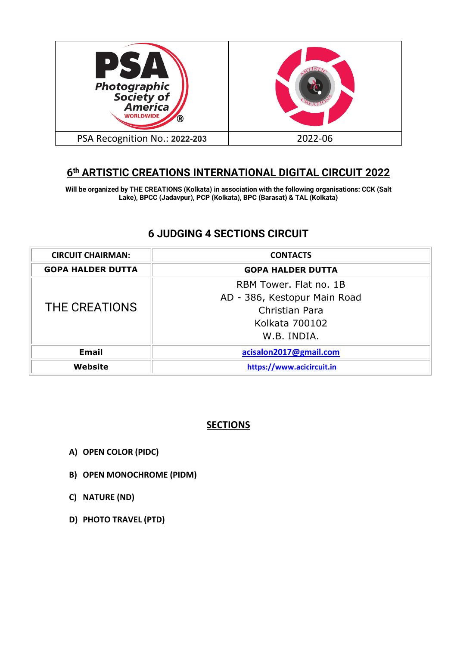

# **6th ARTISTIC CREATIONS INTERNATIONAL DIGITAL CIRCUIT 2022**

**Will be organized by THE CREATIONS (Kolkata) in association with the following organisations: CCK (Salt Lake), BPCC (Jadavpur), PCP (Kolkata), BPC (Barasat) & TAL (Kolkata)**

# **6 JUDGING 4 SECTIONS CIRCUIT**

| <b>CIRCUIT CHAIRMAN:</b> | <b>CONTACTS</b>              |  |  |
|--------------------------|------------------------------|--|--|
| <b>GOPA HALDER DUTTA</b> | <b>GOPA HALDER DUTTA</b>     |  |  |
| THE CREATIONS            | RBM Tower, Flat no. 1B       |  |  |
|                          | AD - 386, Kestopur Main Road |  |  |
|                          | Christian Para               |  |  |
|                          | Kolkata 700102               |  |  |
|                          | W.B. INDIA.                  |  |  |
| Email                    | acisalon2017@gmail.com       |  |  |
| <b>Website</b>           | https://www.acicircuit.in    |  |  |

### **SECTIONS**

- **A) OPEN COLOR (PIDC)**
- **B) OPEN MONOCHROME (PIDM)**
- **C) NATURE (ND)**
- **D) PHOTO TRAVEL (PTD)**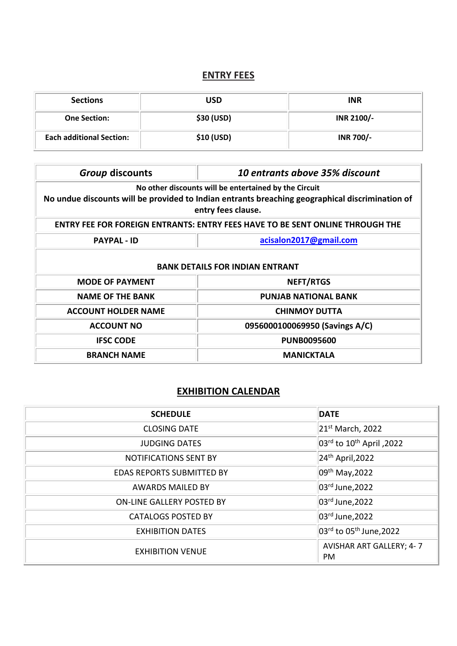# **ENTRY FEES**

| <b>Sections</b>                 | USD        | <b>INR</b>       |
|---------------------------------|------------|------------------|
| <b>One Section:</b>             | \$30 (USD) | INR 2100/-       |
| <b>Each additional Section:</b> | \$10 (USD) | <b>INR 700/-</b> |

| <b>Group discounts</b>                                                                                                                                                         | 10 entrants above 35% discount |  |  |  |
|--------------------------------------------------------------------------------------------------------------------------------------------------------------------------------|--------------------------------|--|--|--|
| No other discounts will be entertained by the Circuit<br>No undue discounts will be provided to Indian entrants breaching geographical discrimination of<br>entry fees clause. |                                |  |  |  |
| <b>ENTRY FEE FOR FOREIGN ENTRANTS: ENTRY FEES HAVE TO BE SENT ONLINE THROUGH THE</b>                                                                                           |                                |  |  |  |
| <b>PAYPAL - ID</b>                                                                                                                                                             | acisalon2017@gmail.com         |  |  |  |
| <b>BANK DETAILS FOR INDIAN ENTRANT</b>                                                                                                                                         |                                |  |  |  |
| <b>MODE OF PAYMENT</b>                                                                                                                                                         | <b>NEFT/RTGS</b>               |  |  |  |
| <b>NAME OF THE BANK</b>                                                                                                                                                        | <b>PUNJAB NATIONAL BANK</b>    |  |  |  |
| <b>ACCOUNT HOLDER NAME</b>                                                                                                                                                     | <b>CHINMOY DUTTA</b>           |  |  |  |
| <b>ACCOUNT NO</b>                                                                                                                                                              | 0956000100069950 (Savings A/C) |  |  |  |
| <b>IFSC CODE</b>                                                                                                                                                               | <b>PUNB0095600</b>             |  |  |  |
| <b>MANICKTALA</b><br><b>BRANCH NAME</b>                                                                                                                                        |                                |  |  |  |

## **EXHIBITION CALENDAR**

| <b>SCHEDULE</b>                  | <b>DATE</b>                                       |
|----------------------------------|---------------------------------------------------|
| <b>CLOSING DATE</b>              | 21 <sup>st</sup> March, 2022                      |
| <b>JUDGING DATES</b>             | $ 03^{\text{rd}}$ to $10^{\text{th}}$ April, 2022 |
| <b>NOTIFICATIONS SENT BY</b>     | $24th$ April, 2022                                |
| <b>EDAS REPORTS SUBMITTED BY</b> | 09 <sup>th</sup> May, 2022                        |
| <b>AWARDS MAILED BY</b>          | 03rd June, 2022                                   |
| ON-LINE GALLERY POSTED BY        | 03rd June, 2022                                   |
| <b>CATALOGS POSTED BY</b>        | 03rd June, 2022                                   |
| <b>EXHIBITION DATES</b>          | 03rd to 05 <sup>th</sup> June, 2022               |
| <b>EXHIBITION VENUE</b>          | <b>AVISHAR ART GALLERY; 4-7</b><br><b>PM</b>      |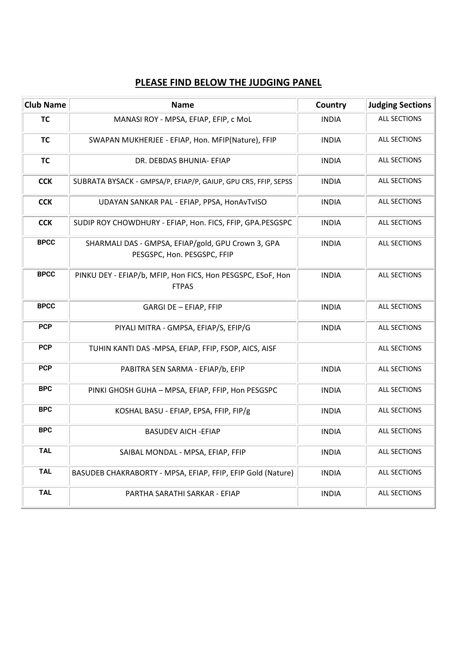## **PLEASE FIND BELOW THE JUDGING PANEL**

| <b>Club Name</b> | <b>Name</b>                                                                       | Country      | <b>Judging Sections</b> |
|------------------|-----------------------------------------------------------------------------------|--------------|-------------------------|
| <b>TC</b>        | MANASI ROY - MPSA, EFIAP, EFIP, c MoL                                             | <b>INDIA</b> | <b>ALL SECTIONS</b>     |
| <b>TC</b>        | SWAPAN MUKHERJEE - EFIAP, Hon. MFIP(Nature), FFIP                                 | <b>INDIA</b> | <b>ALL SECTIONS</b>     |
| <b>TC</b>        | DR. DEBDAS BHUNIA- EFIAP                                                          | <b>INDIA</b> | <b>ALL SECTIONS</b>     |
| <b>CCK</b>       | SUBRATA BYSACK - GMPSA/P, EFIAP/P, GAIUP, GPU CR5, FFIP, SEPSS                    | <b>INDIA</b> | <b>ALL SECTIONS</b>     |
| <b>CCK</b>       | UDAYAN SANKAR PAL - EFIAP, PPSA, HonAvTvISO                                       | <b>INDIA</b> | <b>ALL SECTIONS</b>     |
| <b>CCK</b>       | SUDIP ROY CHOWDHURY - EFIAP, Hon. FICS, FFIP, GPA.PESGSPC                         | <b>INDIA</b> | <b>ALL SECTIONS</b>     |
| <b>BPCC</b>      | SHARMALI DAS - GMPSA, EFIAP/gold, GPU Crown 3, GPA<br>PESGSPC, Hon. PESGSPC, FFIP | <b>INDIA</b> | <b>ALL SECTIONS</b>     |
| <b>BPCC</b>      | PINKU DEY - EFIAP/b, MFIP, Hon FICS, Hon PESGSPC, ESoF, Hon<br><b>FTPAS</b>       | <b>INDIA</b> | <b>ALL SECTIONS</b>     |
| <b>BPCC</b>      | <b>GARGI DE - EFIAP, FFIP</b>                                                     | <b>INDIA</b> | <b>ALL SECTIONS</b>     |
| <b>PCP</b>       | PIYALI MITRA - GMPSA, EFIAP/S, EFIP/G                                             | <b>INDIA</b> | <b>ALL SECTIONS</b>     |
| <b>PCP</b>       | TUHIN KANTI DAS -MPSA, EFIAP, FFIP, FSOP, AICS, AISF                              |              | <b>ALL SECTIONS</b>     |
| <b>PCP</b>       | PABITRA SEN SARMA - EFIAP/b, EFIP                                                 | <b>INDIA</b> | <b>ALL SECTIONS</b>     |
| <b>BPC</b>       | PINKI GHOSH GUHA - MPSA, EFIAP, FFIP, Hon PESGSPC                                 | <b>INDIA</b> | <b>ALL SECTIONS</b>     |
| <b>BPC</b>       | KOSHAL BASU - EFIAP, EPSA, FFIP, FIP/g                                            | <b>INDIA</b> | <b>ALL SECTIONS</b>     |
| <b>BPC</b>       | <b>BASUDEV AICH - EFIAP</b>                                                       | <b>INDIA</b> | <b>ALL SECTIONS</b>     |
| <b>TAL</b>       | SAIBAL MONDAL - MPSA, EFIAP, FFIP                                                 | <b>INDIA</b> | <b>ALL SECTIONS</b>     |
| <b>TAL</b>       | BASUDEB CHAKRABORTY - MPSA, EFIAP, FFIP, EFIP Gold (Nature)                       | <b>INDIA</b> | ALL SECTIONS            |
| <b>TAL</b>       | PARTHA SARATHI SARKAR - EFIAP                                                     | <b>INDIA</b> | ALL SECTIONS            |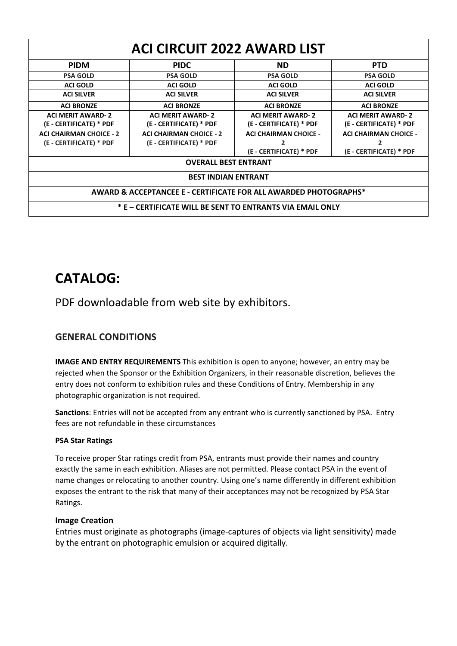| <b>ACI CIRCUIT 2022 AWARD LIST</b>                               |                                |                              |                              |  |
|------------------------------------------------------------------|--------------------------------|------------------------------|------------------------------|--|
| <b>PIDM</b>                                                      | <b>PIDC</b>                    | <b>ND</b>                    | <b>PTD</b>                   |  |
| <b>PSA GOLD</b>                                                  | <b>PSA GOLD</b>                | <b>PSA GOLD</b>              | <b>PSA GOLD</b>              |  |
| <b>ACI GOLD</b>                                                  | <b>ACI GOLD</b>                | <b>ACI GOLD</b>              | <b>ACI GOLD</b>              |  |
| <b>ACI SILVER</b>                                                | <b>ACI SILVER</b>              | <b>ACI SILVER</b>            | <b>ACI SILVER</b>            |  |
| <b>ACI BRONZE</b>                                                | <b>ACI BRONZE</b>              | <b>ACI BRONZE</b>            | <b>ACI BRONZE</b>            |  |
| <b>ACI MERIT AWARD-2</b>                                         | <b>ACI MERIT AWARD-2</b>       | <b>ACI MERIT AWARD-2</b>     | <b>ACI MERIT AWARD-2</b>     |  |
| (E - CERTIFICATE) * PDF                                          | (E - CERTIFICATE) * PDF        | (E - CERTIFICATE) * PDF      | (E - CERTIFICATE) * PDF      |  |
| <b>ACI CHAIRMAN CHOICE - 2</b>                                   | <b>ACI CHAIRMAN CHOICE - 2</b> | <b>ACI CHAIRMAN CHOICE -</b> | <b>ACI CHAIRMAN CHOICE -</b> |  |
| (E - CERTIFICATE) * PDF                                          | (E - CERTIFICATE) * PDF        | 2                            | 2                            |  |
|                                                                  |                                | (E - CERTIFICATE) * PDF      | (E - CERTIFICATE) * PDF      |  |
| <b>OVERALL BEST ENTRANT</b>                                      |                                |                              |                              |  |
| <b>BEST INDIAN ENTRANT</b>                                       |                                |                              |                              |  |
| AWARD & ACCEPTANCEE E - CERTIFICATE FOR ALL AWARDED PHOTOGRAPHS* |                                |                              |                              |  |
| * E – CERTIFICATE WILL BE SENT TO ENTRANTS VIA EMAIL ONLY        |                                |                              |                              |  |

# **CATALOG:**

PDF downloadable from web site by exhibitors.

## **GENERAL CONDITIONS**

**IMAGE AND ENTRY REQUIREMENTS** This exhibition is open to anyone; however, an entry may be rejected when the Sponsor or the Exhibition Organizers, in their reasonable discretion, believes the entry does not conform to exhibition rules and these Conditions of Entry. Membership in any photographic organization is not required.

**Sanctions**: Entries will not be accepted from any entrant who is currently sanctioned by PSA. Entry fees are not refundable in these circumstances

#### **PSA Star Ratings**

To receive proper Star ratings credit from PSA, entrants must provide their names and country exactly the same in each exhibition. Aliases are not permitted. Please contact PSA in the event of name changes or relocating to another country. Using one's name differently in different exhibition exposes the entrant to the risk that many of their acceptances may not be recognized by PSA Star Ratings.

#### **Image Creation**

Entries must originate as photographs (image-captures of objects via light sensitivity) made by the entrant on photographic emulsion or acquired digitally.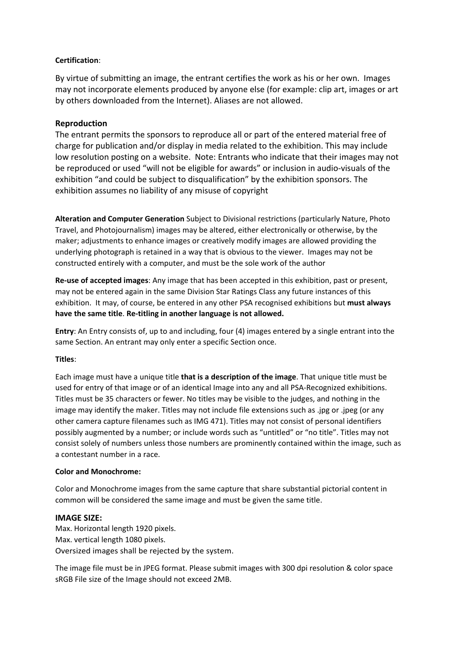#### **Certification**:

By virtue of submitting an image, the entrant certifies the work as his or her own. Images may not incorporate elements produced by anyone else (for example: clip art, images or art by others downloaded from the Internet). Aliases are not allowed.

#### **Reproduction**

The entrant permits the sponsors to reproduce all or part of the entered material free of charge for publication and/or display in media related to the exhibition. This may include low resolution posting on a website. Note: Entrants who indicate that their images may not be reproduced or used "will not be eligible for awards" or inclusion in audio-visuals of the exhibition "and could be subject to disqualification" by the exhibition sponsors. The exhibition assumes no liability of any misuse of copyright

**Alteration and Computer Generation** Subject to Divisional restrictions (particularly Nature, Photo Travel, and Photojournalism) images may be altered, either electronically or otherwise, by the maker; adjustments to enhance images or creatively modify images are allowed providing the underlying photograph is retained in a way that is obvious to the viewer. Images may not be constructed entirely with a computer, and must be the sole work of the author

**Re-use of accepted images**: Any image that has been accepted in this exhibition, past or present, may not be entered again in the same Division Star Ratings Class any future instances of this exhibition. It may, of course, be entered in any other PSA recognised exhibitions but **must always have the same title**. **Re-titling in another language is not allowed.**

**Entry**: An Entry consists of, up to and including, four (4) images entered by a single entrant into the same Section. An entrant may only enter a specific Section once.

#### **Titles**:

Each image must have a unique title **that is a description of the image**. That unique title must be used for entry of that image or of an identical Image into any and all PSA-Recognized exhibitions. Titles must be 35 characters or fewer. No titles may be visible to the judges, and nothing in the image may identify the maker. Titles may not include file extensions such as .jpg or .jpeg (or any other camera capture filenames such as IMG 471). Titles may not consist of personal identifiers possibly augmented by a number; or include words such as "untitled" or "no title". Titles may not consist solely of numbers unless those numbers are prominently contained within the image, such as a contestant number in a race.

#### **Color and Monochrome:**

Color and Monochrome images from the same capture that share substantial pictorial content in common will be considered the same image and must be given the same title.

#### **IMAGE SIZE:**

Max. Horizontal length 1920 pixels. Max. vertical length 1080 pixels. Oversized images shall be rejected by the system.

The image file must be in JPEG format. Please submit images with 300 dpi resolution & color space sRGB File size of the Image should not exceed 2MB.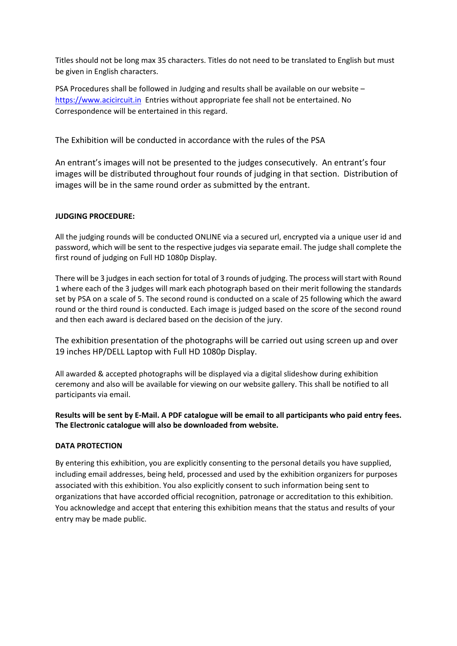Titles should not be long max 35 characters. Titles do not need to be translated to English but must be given in English characters.

PSA Procedures shall be followed in Judging and results shall be available on our website – [https://www.acicircuit.in](https://www.acicircuit.in/) Entries without appropriate fee shall not be entertained. No Correspondence will be entertained in this regard.

The Exhibition will be conducted in accordance with the rules of the PSA

An entrant's images will not be presented to the judges consecutively. An entrant's four images will be distributed throughout four rounds of judging in that section. Distribution of images will be in the same round order as submitted by the entrant.

#### **JUDGING PROCEDURE:**

All the judging rounds will be conducted ONLINE via a secured url, encrypted via a unique user id and password, which will be sent to the respective judges via separate email. The judge shall complete the first round of judging on Full HD 1080p Display.

There will be 3 judges in each section for total of 3 rounds of judging. The process will start with Round 1 where each of the 3 judges will mark each photograph based on their merit following the standards set by PSA on a scale of 5. The second round is conducted on a scale of 25 following which the award round or the third round is conducted. Each image is judged based on the score of the second round and then each award is declared based on the decision of the jury.

The exhibition presentation of the photographs will be carried out using screen up and over 19 inches HP/DELL Laptop with Full HD 1080p Display.

All awarded & accepted photographs will be displayed via a digital slideshow during exhibition ceremony and also will be available for viewing on our website gallery. This shall be notified to all participants via email.

**Results will be sent by E-Mail. A PDF catalogue will be email to all participants who paid entry fees. The Electronic catalogue will also be downloaded from website.**

#### **DATA PROTECTION**

By entering this exhibition, you are explicitly consenting to the personal details you have supplied, including email addresses, being held, processed and used by the exhibition organizers for purposes associated with this exhibition. You also explicitly consent to such information being sent to organizations that have accorded official recognition, patronage or accreditation to this exhibition. You acknowledge and accept that entering this exhibition means that the status and results of your entry may be made public.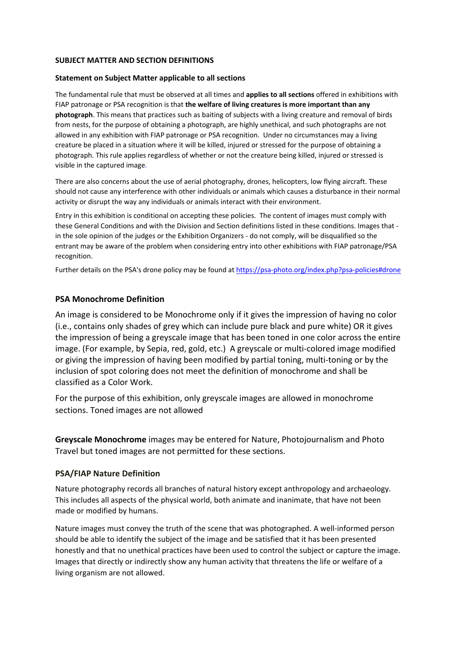#### **SUBJECT MATTER AND SECTION DEFINITIONS**

#### **Statement on Subject Matter applicable to all sections**

The fundamental rule that must be observed at all times and **applies to all sections** offered in exhibitions with FIAP patronage or PSA recognition is that **the welfare of living creatures is more important than any photograph**. This means that practices such as baiting of subjects with a living creature and removal of birds from nests, for the purpose of obtaining a photograph, are highly unethical, and such photographs are not allowed in any exhibition with FIAP patronage or PSA recognition. Under no circumstances may a living creature be placed in a situation where it will be killed, injured or stressed for the purpose of obtaining a photograph. This rule applies regardless of whether or not the creature being killed, injured or stressed is visible in the captured image.

There are also concerns about the use of aerial photography, drones, helicopters, low flying aircraft. These should not cause any interference with other individuals or animals which causes a disturbance in their normal activity or disrupt the way any individuals or animals interact with their environment.

Entry in this exhibition is conditional on accepting these policies. The content of images must comply with these General Conditions and with the Division and Section definitions listed in these conditions. Images that in the sole opinion of the judges or the Exhibition Organizers - do not comply, will be disqualified so the entrant may be aware of the problem when considering entry into other exhibitions with FIAP patronage/PSA recognition.

Further details on the PSA's drone policy may be found at [https://psa-photo.org/index.php?psa-policies#drone](https://psa-photo.org/index.php?psa-policies%23drone)

#### **PSA Monochrome Definition**

An image is considered to be Monochrome only if it gives the impression of having no color (i.e., contains only shades of grey which can include pure black and pure white) OR it gives the impression of being a greyscale image that has been toned in one color across the entire image. (For example, by Sepia, red, gold, etc.) A greyscale or multi-colored image modified or giving the impression of having been modified by partial toning, multi-toning or by the inclusion of spot coloring does not meet the definition of monochrome and shall be classified as a Color Work.

For the purpose of this exhibition, only greyscale images are allowed in monochrome sections. Toned images are not allowed

**Greyscale Monochrome** images may be entered for Nature, Photojournalism and Photo Travel but toned images are not permitted for these sections.

#### **PSA/FIAP Nature Definition**

Nature photography records all branches of natural history except anthropology and archaeology. This includes all aspects of the physical world, both animate and inanimate, that have not been made or modified by humans.

Nature images must convey the truth of the scene that was photographed. A well-informed person should be able to identify the subject of the image and be satisfied that it has been presented honestly and that no unethical practices have been used to control the subject or capture the image. Images that directly or indirectly show any human activity that threatens the life or welfare of a living organism are not allowed.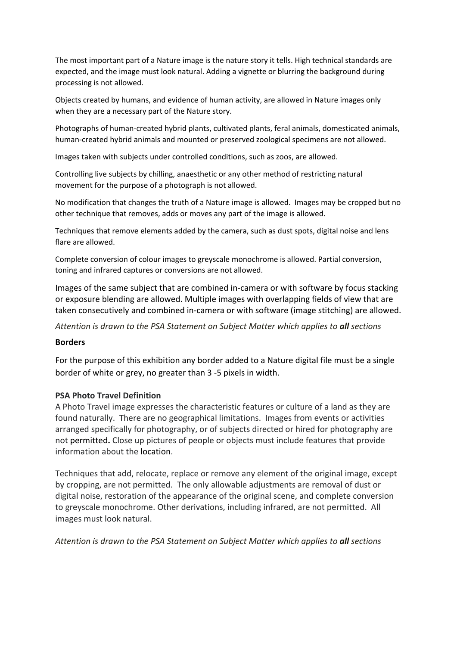The most important part of a Nature image is the nature story it tells. High technical standards are expected, and the image must look natural. Adding a vignette or blurring the background during processing is not allowed.

Objects created by humans, and evidence of human activity, are allowed in Nature images only when they are a necessary part of the Nature story.

Photographs of human-created hybrid plants, cultivated plants, feral animals, domesticated animals, human-created hybrid animals and mounted or preserved zoological specimens are not allowed.

Images taken with subjects under controlled conditions, such as zoos, are allowed.

Controlling live subjects by chilling, anaesthetic or any other method of restricting natural movement for the purpose of a photograph is not allowed.

No modification that changes the truth of a Nature image is allowed. Images may be cropped but no other technique that removes, adds or moves any part of the image is allowed.

Techniques that remove elements added by the camera, such as dust spots, digital noise and lens flare are allowed.

Complete conversion of colour images to greyscale monochrome is allowed. Partial conversion, toning and infrared captures or conversions are not allowed.

Images of the same subject that are combined in-camera or with software by focus stacking or exposure blending are allowed. Multiple images with overlapping fields of view that are taken consecutively and combined in-camera or with software (image stitching) are allowed.

*Attention is drawn to the PSA Statement on Subject Matter which applies to all sections*

#### **Borders**

For the purpose of this exhibition any border added to a Nature digital file must be a single border of white or grey, no greater than 3 -5 pixels in width.

#### **PSA Photo Travel Definition**

A Photo Travel image expresses the characteristic features or culture of a land as they are found naturally. There are no geographical limitations. Images from events or activities arranged specifically for photography, or of subjects directed or hired for photography are not permitted**.** Close up pictures of people or objects must include features that provide information about the location.

Techniques that add, relocate, replace or remove any element of the original image, except by cropping, are not permitted. The only allowable adjustments are removal of dust or digital noise, restoration of the appearance of the original scene, and complete conversion to greyscale monochrome. Other derivations, including infrared, are not permitted. All images must look natural.

*Attention is drawn to the PSA Statement on Subject Matter which applies to all sections*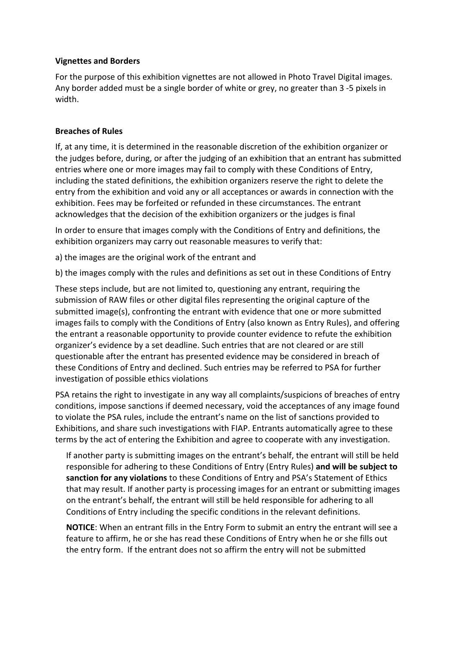#### **Vignettes and Borders**

For the purpose of this exhibition vignettes are not allowed in Photo Travel Digital images. Any border added must be a single border of white or grey, no greater than 3 -5 pixels in width.

#### **Breaches of Rules**

If, at any time, it is determined in the reasonable discretion of the exhibition organizer or the judges before, during, or after the judging of an exhibition that an entrant has submitted entries where one or more images may fail to comply with these Conditions of Entry, including the stated definitions, the exhibition organizers reserve the right to delete the entry from the exhibition and void any or all acceptances or awards in connection with the exhibition. Fees may be forfeited or refunded in these circumstances. The entrant acknowledges that the decision of the exhibition organizers or the judges is final

In order to ensure that images comply with the Conditions of Entry and definitions, the exhibition organizers may carry out reasonable measures to verify that:

a) the images are the original work of the entrant and

b) the images comply with the rules and definitions as set out in these Conditions of Entry

These steps include, but are not limited to, questioning any entrant, requiring the submission of RAW files or other digital files representing the original capture of the submitted image(s), confronting the entrant with evidence that one or more submitted images fails to comply with the Conditions of Entry (also known as Entry Rules), and offering the entrant a reasonable opportunity to provide counter evidence to refute the exhibition organizer's evidence by a set deadline. Such entries that are not cleared or are still questionable after the entrant has presented evidence may be considered in breach of these Conditions of Entry and declined. Such entries may be referred to PSA for further investigation of possible ethics violations

PSA retains the right to investigate in any way all complaints/suspicions of breaches of entry conditions, impose sanctions if deemed necessary, void the acceptances of any image found to violate the PSA rules, include the entrant's name on the list of sanctions provided to Exhibitions, and share such investigations with FIAP. Entrants automatically agree to these terms by the act of entering the Exhibition and agree to cooperate with any investigation.

If another party is submitting images on the entrant's behalf, the entrant will still be held responsible for adhering to these Conditions of Entry (Entry Rules) **and will be subject to sanction for any violations** to these Conditions of Entry and PSA's Statement of Ethics that may result. If another party is processing images for an entrant or submitting images on the entrant's behalf, the entrant will still be held responsible for adhering to all Conditions of Entry including the specific conditions in the relevant definitions.

**NOTICE**: When an entrant fills in the Entry Form to submit an entry the entrant will see a feature to affirm, he or she has read these Conditions of Entry when he or she fills out the entry form. If the entrant does not so affirm the entry will not be submitted